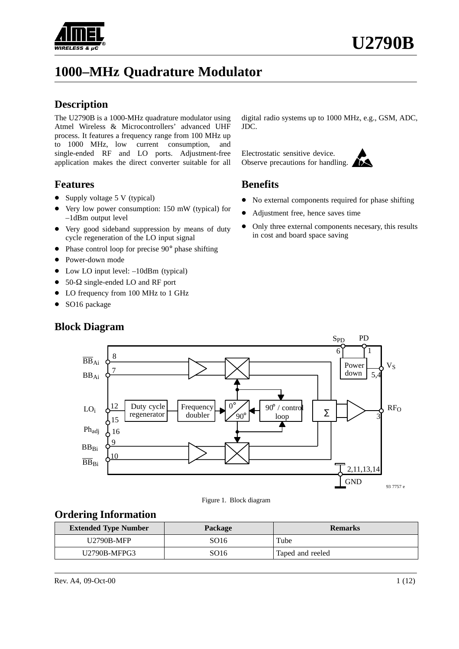

# **1000–MHz Quadrature Modulator**

#### **Description**

The U2790B is a 1000-MHz quadrature modulator using Atmel Wireless & Microcontrollers' advanced UHF process. It features a frequency range from 100 MHz up to 1000 MHz, low current consumption, and single-ended RF and LO ports. Adjustment-free application makes the direct converter suitable for all

#### **Features**

- Supply voltage 5 V (typical)
- $\bullet$  Very low power consumption: 150 mW (typical) for –1dBm output level
- Very good sideband suppression by means of duty cycle regeneration of the LO input signal
- Phase control loop for precise 90° phase shifting
- Power-down mode
- Low LO input level:  $-10$ dBm (typical)
- $50-\Omega$  single-ended LO and RF port

10

 $\overline{\text{BB}}_{\text{Bi}}$ 

- LO frequency from 100 MHz to 1 GHz
- SO16 package

Duty cycle regenerator Frequency doubler  $0<sup>c</sup>$ loop Power down 1 12 8 7 16 15  $\overline{q}$ 5. 6 3  $90^\circ$  / control  $90<sup>c</sup>$  $\overline{\text{BB}}_{\text{Ai}}$ BBAi LOi Phadj  $BB<sub>Bi</sub>$ SPD PD ∑

#### **Block Diagram**

digital radio systems up to 1000 MHz, e.g., GSM, ADC, JDC.

Electrostatic sensitive device. Observe precautions for handling.

#### **Benefits**

- $\bullet$ No external components required for phase shifting
- $\bullet$ Adjustment free, hence saves time
- $\bullet$  Only three external components necesary, this results in cost and board space saving

Figure 1. Block diagram **Ordering Information**

| <b>Extended Type Number</b> | <b>Package</b> | <b>Remarks</b>   |
|-----------------------------|----------------|------------------|
| U2790B-MFP                  | SO16           | Tube             |
| U2790B-MFPG3                | SO16           | Taped and reeled |

93 7757 e

 $V_S$ 

 $RF<sub>O</sub>$ 

2,11,13,14

**GND**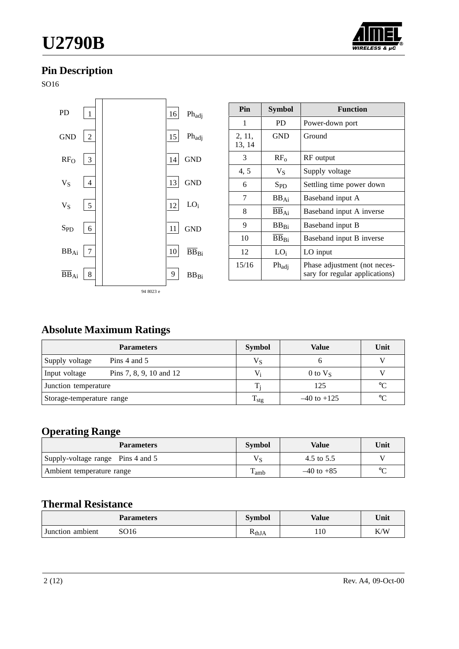# **U2790B**



# **Pin Description**

SO16



| Pin              | Symbol                      | <b>Function</b>                                                |
|------------------|-----------------------------|----------------------------------------------------------------|
| 1                | <b>PD</b>                   | Power-down port                                                |
| 2, 11,<br>13, 14 | <b>GND</b>                  | Ground                                                         |
| 3                | $RF_{0}$                    | RF output                                                      |
| 4, 5             | $V_S$                       | Supply voltage                                                 |
| 6                | $S_{PD}$                    | Settling time power down                                       |
| 7                | $BB_{Ai}$                   | Baseband input A                                               |
| 8                | $\overline{BB}_{\text{Ai}}$ | Baseband input A inverse                                       |
| 9                | BBRi                        | Baseband input B                                               |
| 10               | BB <sub>Bi</sub>            | Baseband input B inverse                                       |
| 12               | $LO_i$                      | LO input                                                       |
| 15/16            | Phadj                       | Phase adjustment (not neces-<br>sary for regular applications) |

# **Absolute Maximum Ratings**

| <b>Parameters</b>         |                         | <b>Symbol</b>                    | Value      | Unit            |
|---------------------------|-------------------------|----------------------------------|------------|-----------------|
| Supply voltage            | Pins 4 and $5$          | $V_S$                            |            | 17              |
| Input voltage             | Pins 7, 8, 9, 10 and 12 | V,                               | 0 to $V_s$ |                 |
| Junction temperature      |                         | $T_i$                            | 125        | $\rm ^{\circ}C$ |
| Storage-temperature range |                         | $T_{\rm stg}$<br>$-40$ to $+125$ |            | $\rm ^{\circ}C$ |

# **Operating Range**

| <b>Parameters</b>                 | <b>Symbol</b> | Value          | Unit     |
|-----------------------------------|---------------|----------------|----------|
| Supply-voltage range Pins 4 and 5 | $V_{S}$       | 4.5 to 5.5     |          |
| Ambient temperature range         | l amb         | $-40$ to $+85$ | $\Gamma$ |

## **Thermal Resistance**

|                  | <b>Parameters</b> | Symbol             | Value | Unit |
|------------------|-------------------|--------------------|-------|------|
| Junction ambient | SO16              | K <sub>th</sub> JA | 110   | K/W  |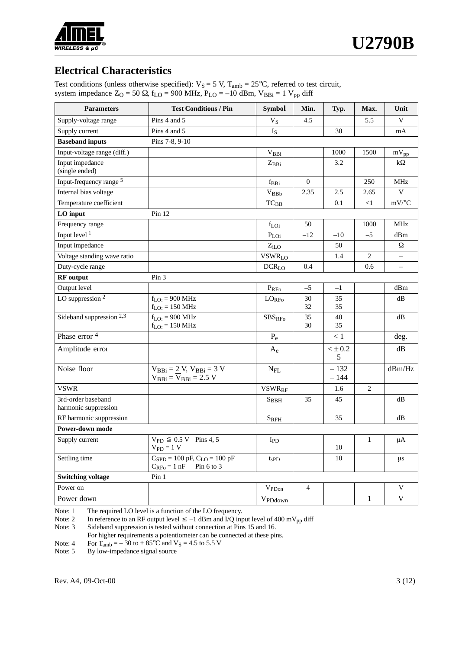

## **Electrical Characteristics**

Test conditions (unless otherwise specified):  $V_S = 5 V$ ,  $T_{amb} = 25^{\circ}C$ , referred to test circuit, system impedance  $Z_O = 50 \Omega$ , f<sub>LO</sub> = 900 MHz, P<sub>LO</sub> = -10 dBm, V<sub>BBi</sub> = 1 V<sub>pp</sub> diff

| <b>Parameters</b>                          | <b>Test Conditions / Pin</b>                                                           | <b>Symbol</b>         | Min.         | Typ.             | Max.           | Unit                     |
|--------------------------------------------|----------------------------------------------------------------------------------------|-----------------------|--------------|------------------|----------------|--------------------------|
| Supply-voltage range                       | Pins 4 and 5                                                                           | $V_S$                 | 4.5          |                  | 5.5            | V                        |
| Supply current                             | Pins 4 and 5                                                                           | $I_{S}$               |              | 30               |                | mA                       |
| <b>Baseband inputs</b>                     | Pins 7-8, 9-10                                                                         |                       |              |                  |                |                          |
| Input-voltage range (diff.)                |                                                                                        | $V_{BBi}$             |              | 1000             | 1500           | $mV_{pp}$                |
| Input impedance<br>(single ended)          |                                                                                        | $Z_{BBi}$             |              | 3.2              |                | $k\Omega$                |
| Input-frequency range 5                    |                                                                                        | $\rm f_{BBi}$         | $\mathbf{0}$ |                  | 250            | $\mathbf{MHz}$           |
| Internal bias voltage                      |                                                                                        | $\rm V_{BBb}$         | 2.35         | 2.5              | 2.65           | V                        |
| Temperature coefficient                    |                                                                                        | $TC_{BB}$             |              | 0.1              | $\leq$ 1       | $mV$ /°C                 |
| LO input                                   | Pin 12                                                                                 |                       |              |                  |                |                          |
| Frequency range                            |                                                                                        | f <sub>LOi</sub>      | 50           |                  | 1000           | MHz                      |
| Input level $1$                            |                                                                                        | $P_{LOi}$             | $-12$        | $-10$            | $-5$           | dBm                      |
| Input impedance                            |                                                                                        | $Z_{iLO}$             |              | 50               |                | Ω                        |
| Voltage standing wave ratio                |                                                                                        | <b>VSWRLO</b>         |              | 1.4              | $\overline{c}$ | $\overline{\phantom{0}}$ |
| Duty-cycle range                           |                                                                                        | $DCR_{LO}$            | 0.4          |                  | 0.6            |                          |
| <b>RF</b> output                           | Pin <sub>3</sub>                                                                       |                       |              |                  |                |                          |
| Output level                               |                                                                                        | $P_{RFo}$             | $-5$         | $-1$             |                | dBm                      |
| LO suppression $2$                         | $f_{I.O} = 900 \text{ MHz}$<br>$f_{LO}$ : = 150 MHz                                    | LO <sub>RFo</sub>     | 30<br>32     | 35<br>35         |                | $\mathrm{dB}$            |
| Sideband suppression 2,3                   | $f_{LO}$ : = 900 MHz<br>$f_{LO}$ : = 150 MHz                                           | ${\rm SBS}_{\rm RFo}$ | 35<br>30     | 40<br>35         |                | $\mathrm{dB}$            |
| Phase error <sup>4</sup>                   |                                                                                        | $P_e$                 |              | < 1              |                | deg.                     |
| Amplitude error                            |                                                                                        | $A_e$                 |              | $<\pm\,0.2$<br>5 |                | dB                       |
| Noise floor                                | $V_{BBi} = 2 V$ , $\overline{V}_{BBi} = 3 V$<br>$V_{BBi} = \overline{V}_{BBi} = 2.5 V$ | $\rm N_{FL}$          |              | $-132$<br>$-144$ |                | dBm/Hz                   |
| <b>VSWR</b>                                |                                                                                        | <b>VSWRRF</b>         |              | 1.6              | $\overline{c}$ |                          |
| 3rd-order baseband<br>harmonic suppression |                                                                                        | $S_{BBH}$             | 35           | 45               |                | dB                       |
| RF harmonic suppression                    |                                                                                        | $S_{RFH}$             |              | 35               |                | dB                       |
| Power-down mode                            |                                                                                        |                       |              |                  |                |                          |
| Supply current                             | $V_{\text{PD}} \leq 0.5 \text{ V}$ Pins 4, 5<br>$V_{PD} = 1 V$                         | I <sub>PD</sub>       |              | $10\,$           | 1              | $\mu A$                  |
| Settling time                              | $C_{SPD} = 100$ pF, $C_{LO} = 100$ pF<br>Pin 6 to 3<br>$C_{RFo} = 1$ nF                | $t_{\rm sPD}$         |              | 10               |                | $\mu s$                  |
| <b>Switching voltage</b>                   | Pin 1                                                                                  |                       |              |                  |                |                          |
| Power on                                   |                                                                                        | $V_{PDon}$            | 4            |                  |                | V                        |
| Power down                                 |                                                                                        | V <sub>PDdown</sub>   |              |                  | $\mathbf{1}$   | V                        |

Note: 1 The required LO level is a function of the LO frequency.<br>Note: 2 In reference to an RF output level  $\le -1$  dBm and I/Q inp

Note: 2 In reference to an RF output level  $\le -1$  dBm and I/Q input level of 400 mV<sub>pp</sub> diff

Note: 3 Sideband suppression is tested without connection at Pins 15 and 16. For higher requirements a potentiometer can be connected at these pins.

Note: 4 For  $T_{amb} = -30$  to  $+ 85^{\circ}C$  and  $V_S = 4.5$  to 5.5 V<br>Note: 5 By low-impedance signal source By low-impedance signal source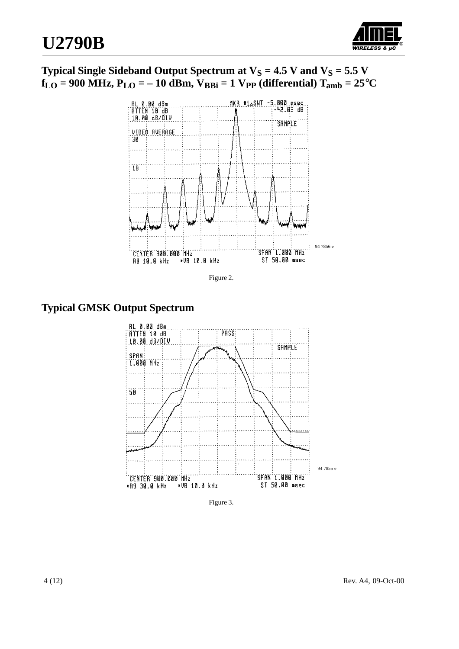

## **Typical Single Sideband Output Spectrum at**  $V_S = 4.5$  **V and**  $V_S = 5.5$  **V**  $f_{LO} = 900 \text{ MHz}, P_{LO} = -10 \text{ dBm}, V_{BBi} = 1 \text{ Vpp}$  (differential)  $T_{amb} = 25^{\circ}\text{C}$





## **Typical GMSK Output Spectrum**



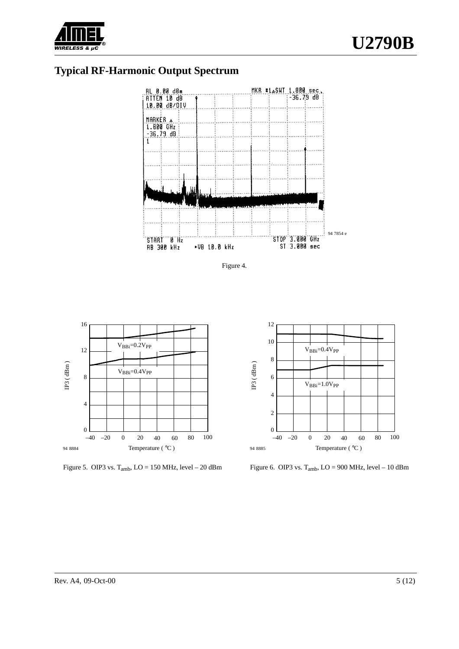

## **Typical RF-Harmonic Output Spectrum**







Figure 5. OIP3 vs.  $T_{amb}$ ,  $LO = 150$  MHz, level  $- 20$  dBm



Figure 6. OIP3 vs.  $T_{amb}$ ,  $LO = 900$  MHz, level – 10 dBm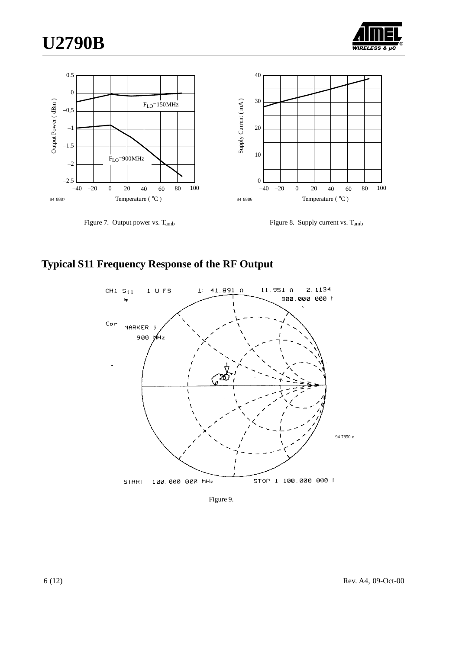





Figure 7. Output power vs. Tamb

Figure 8. Supply current vs. Tamb

### **Typical S11 Frequency Response of the RF Output**



Figure 9.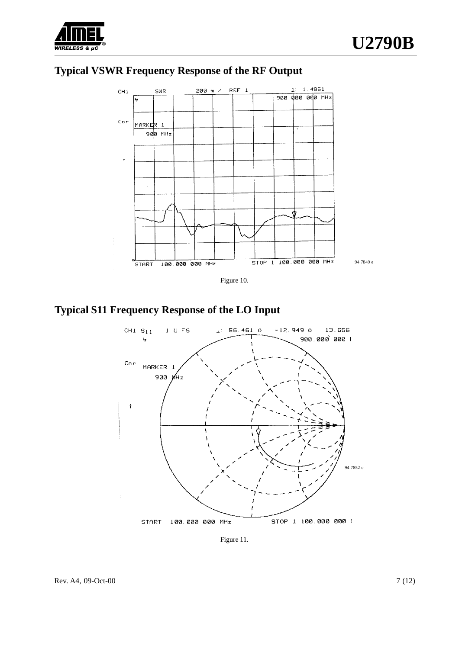





**Typical S11 Frequency Response of the LO Input**



Figure 11.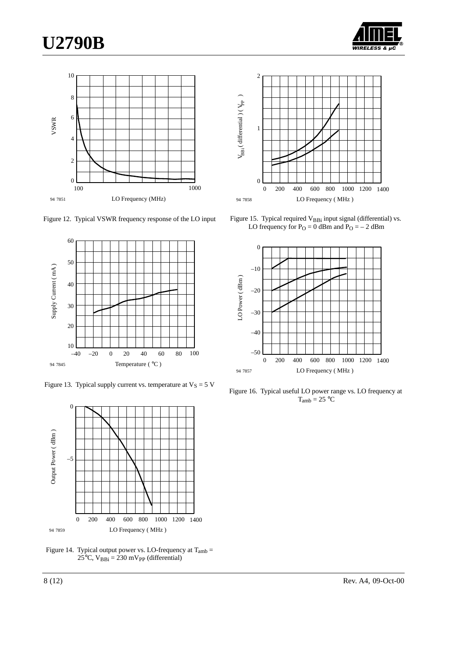# **U2790B**





Figure 12. Typical VSWR frequency response of the LO input



Figure 13. Typical supply current vs. temperature at  $V_S = 5 V$ 



Figure 14. Typical output power vs. LO-frequency at  $T_{amb} =$  $25^{\circ}$ C, V<sub>BBi</sub> = 230 mV<sub>PP</sub> (differential)



Figure 15. Typical required V<sub>BBi</sub> input signal (differential) vs. LO frequency for  $P_{\text{O}} = 0$  dBm and  $P_{\text{O}} = -2$  dBm



Figure 16. Typical useful LO power range vs. LO frequency at  $T_{amb} = 25 °C$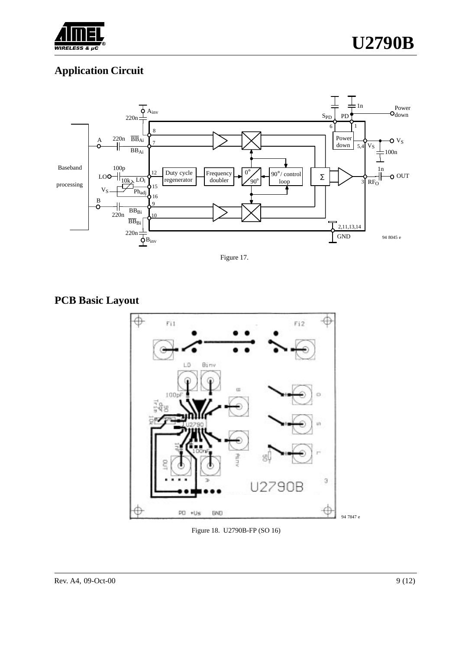

## **Application Circuit**



Figure 17.

# **PCB Basic Layout**



Figure 18. U2790B-FP (SO 16)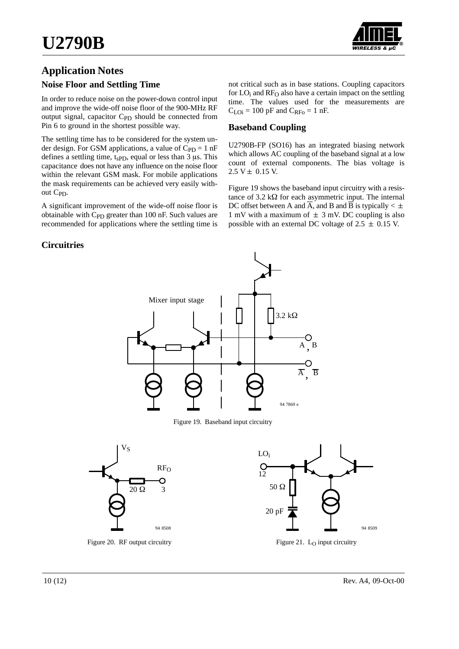

## **Application Notes**

#### **Noise Floor and Settling Time**

In order to reduce noise on the power-down control input and improve the wide-off noise floor of the 900-MHz RF output signal, capacitor C<sub>PD</sub> should be connected from Pin 6 to ground in the shortest possible way.

The settling time has to be considered for the system under design. For GSM applications, a value of  $C_{PD} = 1$  nF defines a settling time,  $t_{\rm sPD}$ , equal or less than 3  $\mu$ s. This capacitance does not have any influence on the noise floor within the relevant GSM mask. For mobile applications the mask requirements can be achieved very easily without C<sub>PD</sub>.

A significant improvement of the wide-off noise floor is obtainable with C<sub>PD</sub> greater than 100 nF. Such values are recommended for applications where the settling time is not critical such as in base stations. Coupling capacitors for LO<sub>i</sub> and RF<sub>O</sub> also have a certain impact on the settling time. The values used for the measurements are  $C_{\text{LOi}} = 100 \text{ pF}$  and  $C_{\text{RFo}} = 1 \text{ nF}$ .

#### **Baseband Coupling**

U2790B-FP (SO16) has an integrated biasing network which allows AC coupling of the baseband signal at a low count of external components. The bias voltage is  $2.5 V ± 0.15 V.$ 

Figure 19 shows the baseband input circuitry with a resistance of 3.2 k $\Omega$  for each asymmetric input. The internal DC offset between A and  $\overline{A}$ , and B and  $\overline{B}$  is typically  $\lt \pm$ 1 mV with a maximum of  $\pm$  3 mV. DC coupling is also possible with an external DC voltage of  $2.5 \pm 0.15$  V.

#### **Circuitries**



Figure 19. Baseband input circuitry



Figure 20. RF output circuitry



Figure 21. L<sub>O</sub> input circuitry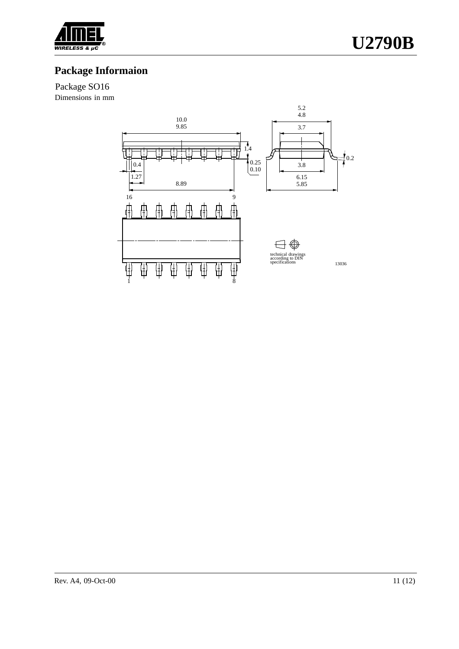

# **Package Informaion**

Package SO16

Dimensions in mm